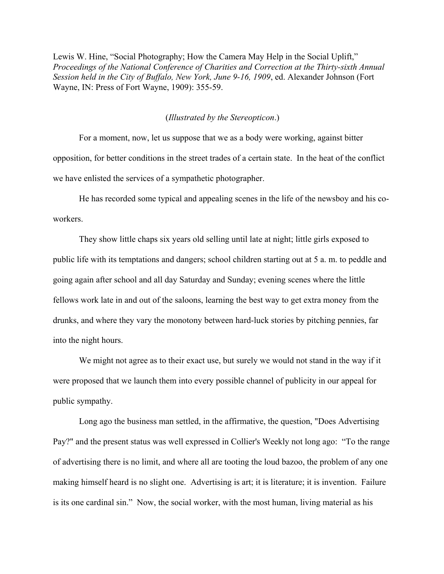Lewis W. Hine, "Social Photography; How the Camera May Help in the Social Uplift," *Proceedings of the National Conference of Charities and Correction at the Thirty-sixth Annual Session held in the City of Buffalo, New York, June 9-16, 1909*, ed. Alexander Johnson (Fort Wayne, IN: Press of Fort Wayne, 1909): 355-59.

## (*Illustrated by the Stereopticon*.)

For a moment, now, let us suppose that we as a body were working, against bitter opposition, for better conditions in the street trades of a certain state. In the heat of the conflict we have enlisted the services of a sympathetic photographer.

He has recorded some typical and appealing scenes in the life of the newsboy and his coworkers.

They show little chaps six years old selling until late at night; little girls exposed to public life with its temptations and dangers; school children starting out at 5 a. m. to peddle and going again after school and all day Saturday and Sunday; evening scenes where the little fellows work late in and out of the saloons, learning the best way to get extra money from the drunks, and where they vary the monotony between hard-luck stories by pitching pennies, far into the night hours.

We might not agree as to their exact use, but surely we would not stand in the way if it were proposed that we launch them into every possible channel of publicity in our appeal for public sympathy.

Long ago the business man settled, in the affirmative, the question, "Does Advertising Pay?" and the present status was well expressed in Collier's Weekly not long ago: "To the range of advertising there is no limit, and where all are tooting the loud bazoo, the problem of any one making himself heard is no slight one. Advertising is art; it is literature; it is invention. Failure is its one cardinal sin." Now, the social worker, with the most human, living material as his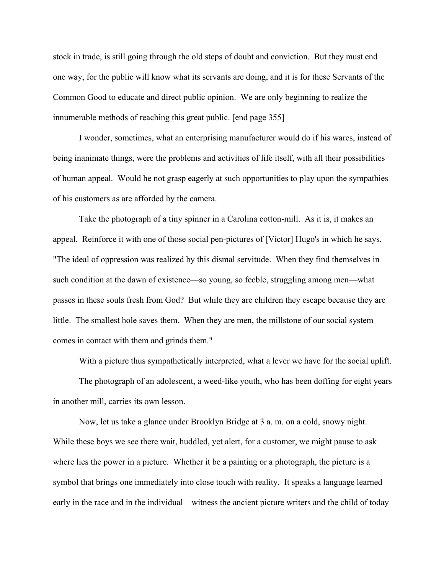stock in trade, is still going through the old steps of doubt and conviction. But they must end one way, for the public will know what its servants are doing, and it is for these Servants of the Common Good to educate and direct public opinion. We are only beginning to realize the innumerable methods of reaching this great public. [end page 355]

I wonder, sometimes, what an enterprising manufacturer would do if his wares, instead of being inanimate things, were the problems and activities of life itself, with all their possibilities of human appeal. Would he not grasp eagerly at such opportunities to play upon the sympathies of his customers as are afforded by the camera.

Take the photograph of a tiny spinner in a Carolina cotton-mill. As it is, it makes an appeal. Reinforce it with one of those social pen-pictures of [Victor] Hugo's in which he says, "The ideal of oppression was realized by this dismal servitude. When they find themselves in such condition at the dawn of existence—so young, so feeble, struggling among men—what passes in these souls fresh from God? But while they are children they escape because they are little. The smallest hole saves them. When they are men, the millstone of our social system comes in contact with them and grinds them."

With a picture thus sympathetically interpreted, what a lever we have for the social uplift.

The photograph of an adolescent, a weed-like youth, who has been doffing for eight years in another mill, carries its own lesson.

Now, let us take a glance under Brooklyn Bridge at 3 a. m. on a cold, snowy night. While these boys we see there wait, huddled, yet alert, for a customer, we might pause to ask where lies the power in a picture. Whether it be a painting or a photograph, the picture is a symbol that brings one immediately into close touch with reality. It speaks a language learned early in the race and in the individual—witness the ancient picture writers and the child of today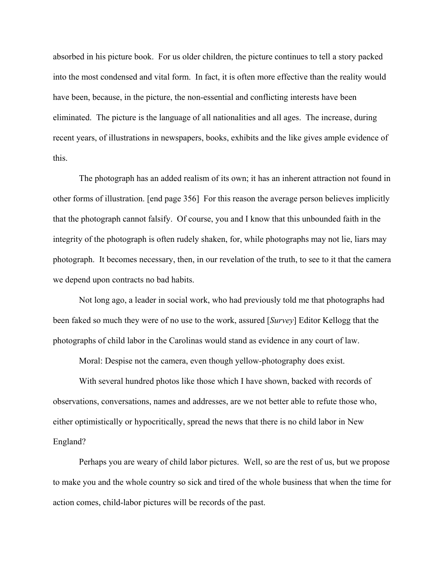absorbed in his picture book. For us older children, the picture continues to tell a story packed into the most condensed and vital form. In fact, it is often more effective than the reality would have been, because, in the picture, the non-essential and conflicting interests have been eliminated. The picture is the language of all nationalities and all ages. The increase, during recent years, of illustrations in newspapers, books, exhibits and the like gives ample evidence of this.

The photograph has an added realism of its own; it has an inherent attraction not found in other forms of illustration. [end page 356] For this reason the average person believes implicitly that the photograph cannot falsify. Of course, you and I know that this unbounded faith in the integrity of the photograph is often rudely shaken, for, while photographs may not lie, liars may photograph. It becomes necessary, then, in our revelation of the truth, to see to it that the camera we depend upon contracts no bad habits.

Not long ago, a leader in social work, who had previously told me that photographs had been faked so much they were of no use to the work, assured [*Survey*] Editor Kellogg that the photographs of child labor in the Carolinas would stand as evidence in any court of law.

Moral: Despise not the camera, even though yellow-photography does exist.

With several hundred photos like those which I have shown, backed with records of observations, conversations, names and addresses, are we not better able to refute those who, either optimistically or hypocritically, spread the news that there is no child labor in New England?

Perhaps you are weary of child labor pictures. Well, so are the rest of us, but we propose to make you and the whole country so sick and tired of the whole business that when the time for action comes, child-labor pictures will be records of the past.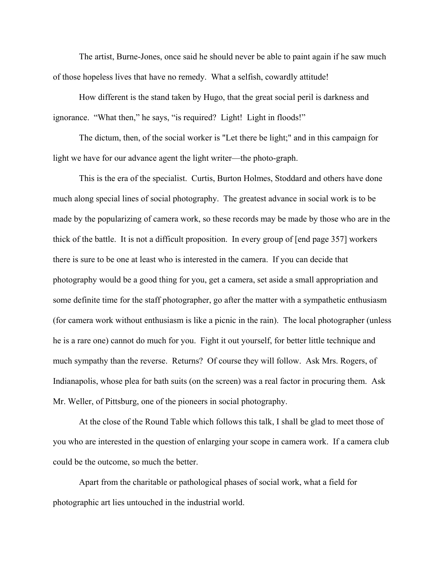The artist, Burne-Jones, once said he should never be able to paint again if he saw much of those hopeless lives that have no remedy. What a selfish, cowardly attitude!

How different is the stand taken by Hugo, that the great social peril is darkness and ignorance. "What then," he says, "is required? Light! Light in floods!"

The dictum, then, of the social worker is "Let there be light;" and in this campaign for light we have for our advance agent the light writer—the photo-graph.

This is the era of the specialist. Curtis, Burton Holmes, Stoddard and others have done much along special lines of social photography. The greatest advance in social work is to be made by the popularizing of camera work, so these records may be made by those who are in the thick of the battle. It is not a difficult proposition. In every group of [end page 357] workers there is sure to be one at least who is interested in the camera. If you can decide that photography would be a good thing for you, get a camera, set aside a small appropriation and some definite time for the staff photographer, go after the matter with a sympathetic enthusiasm (for camera work without enthusiasm is like a picnic in the rain). The local photographer (unless he is a rare one) cannot do much for you. Fight it out yourself, for better little technique and much sympathy than the reverse. Returns? Of course they will follow. Ask Mrs. Rogers, of Indianapolis, whose plea for bath suits (on the screen) was a real factor in procuring them. Ask Mr. Weller, of Pittsburg, one of the pioneers in social photography.

At the close of the Round Table which follows this talk, I shall be glad to meet those of you who are interested in the question of enlarging your scope in camera work. If a camera club could be the outcome, so much the better.

Apart from the charitable or pathological phases of social work, what a field for photographic art lies untouched in the industrial world.